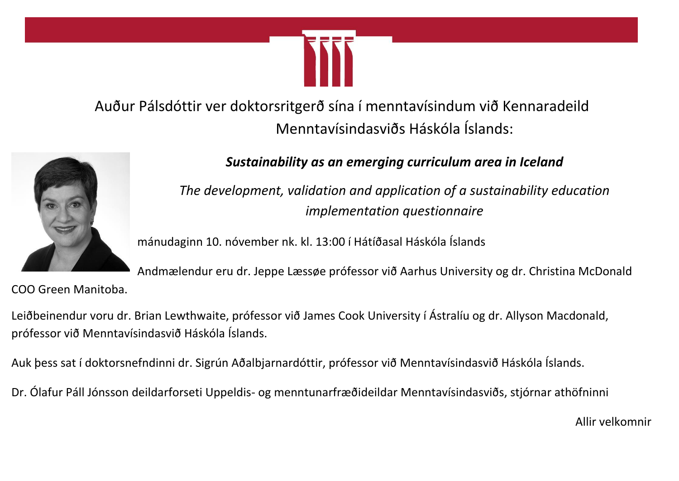

Auður Pálsdóttir ver doktorsritgerð sína í menntavísindum við Kennaradeild Menntavísindasviðs Háskóla Íslands:



*Sustainability as an emerging curriculum area in Iceland*

*The development, validation and application of a sustainability education implementation questionnaire*

mánudaginn 10. nóvember nk. kl. 13:00 í Hátíðasal Háskóla Íslands

Andmælendur eru dr. Jeppe Læssøe prófessor við Aarhus University og dr. Christina McDonald COO Green Manitoba.

Leiðbeinendur voru dr. Brian Lewthwaite, prófessor við James Cook University í Ástralíu og dr. Allyson Macdonald, prófessor við Menntavísindasvið Háskóla Íslands.

Auk þess sat í doktorsnefndinni dr. Sigrún Aðalbjarnardóttir, prófessor við Menntavísindasvið Háskóla Íslands.

Dr. Ólafur Páll Jónsson deildarforseti Uppeldis- og menntunarfræðideildar Menntavísindasviðs, stjórnar athöfninni

Allir velkomnir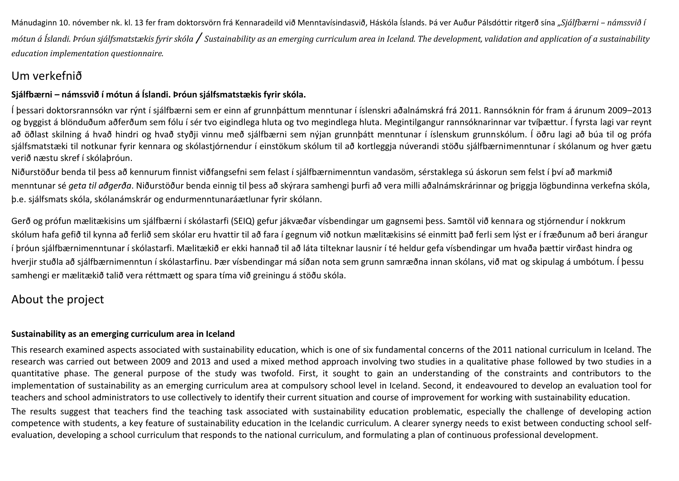Mánudaginn 10. nóvember nk. kl. 13 fer fram doktorsvörn frá Kennaradeild við Menntavísindasvið, Háskóla Íslands. Þá ver Auður Pálsdóttir ritgerð sína "*Sjálfbærni – námssvið í mótun á Íslandi. Þróun sjálfsmatstækis fyrir skóla / Sustainability as an emerging curriculum area in Iceland. The development, validation and application of a sustainability education implementation questionnaire.*

### Um verkefnið

### **Sjálfbærni – námssvið í mótun á Íslandi. Þróun sjálfsmatstækis fyrir skóla.**

Í þessari doktorsrannsókn var rýnt í sjálfbærni sem er einn af grunnþáttum menntunar í íslenskri aðalnámskrá frá 2011. Rannsóknin fór fram á árunum 2009–2013 og byggist á blönduðum aðferðum sem fólu í sér tvo eigindlega hluta og tvo megindlega hluta. Megintilgangur rannsóknarinnar var tvíþættur. Í fyrsta lagi var reynt að öðlast skilning á hvað hindri og hvað styðji vinnu með sjálfbærni sem nýjan grunnþátt menntunar í íslenskum grunnskólum. Í öðru lagi að búa til og prófa sjálfsmatstæki til notkunar fyrir kennara og skólastjórnendur í einstökum skólum til að kortleggja núverandi stöðu sjálfbærnimenntunar í skólanum og hver gætu verið næstu skref í skólaþróun.

Niðurstöður benda til þess að kennurum finnist viðfangsefni sem felast í sjálfbærnimenntun vandasöm, sérstaklega sú áskorun sem felst í því að markmið menntunar sé *geta til aðgerða*. Niðurstöður benda einnig til þess að skýrara samhengi þurfi að vera milli aðalnámskrárinnar og þriggja lögbundinna verkefna skóla, þ.e. sjálfsmats skóla, skólanámskrár og endurmenntunaráætlunar fyrir skólann.

Gerð og prófun mælitækisins um sjálfbærni í skólastarfi (SEIQ) gefur jákvæðar vísbendingar um gagnsemi þess. Samtöl við kennara og stjórnendur í nokkrum skólum hafa gefið til kynna að ferlið sem skólar eru hvattir til að fara í gegnum við notkun mælitækisins sé einmitt það ferli sem lýst er í fræðunum að beri árangur í þróun sjálfbærnimenntunar í skólastarfi. Mælitækið er ekki hannað til að láta tilteknar lausnir í té heldur gefa vísbendingar um hvaða þættir virðast hindra og hverjir stuðla að sjálfbærnimenntun í skólastarfinu. Þær vísbendingar má síðan nota sem grunn samræðna innan skólans, við mat og skipulag á umbótum. Í þessu samhengi er mælitækið talið vera réttmætt og spara tíma við greiningu á stöðu skóla.

## About the project

### **Sustainability as an emerging curriculum area in Iceland**

This research examined aspects associated with sustainability education, which is one of six fundamental concerns of the 2011 national curriculum in Iceland. The research was carried out between 2009 and 2013 and used a mixed method approach involving two studies in a qualitative phase followed by two studies in a quantitative phase. The general purpose of the study was twofold. First, it sought to gain an understanding of the constraints and contributors to the implementation of sustainability as an emerging curriculum area at compulsory school level in Iceland. Second, it endeavoured to develop an evaluation tool for teachers and school administrators to use collectively to identify their current situation and course of improvement for working with sustainability education.

The results suggest that teachers find the teaching task associated with sustainability education problematic, especially the challenge of developing action competence with students, a key feature of sustainability education in the Icelandic curriculum. A clearer synergy needs to exist between conducting school selfevaluation, developing a school curriculum that responds to the national curriculum, and formulating a plan of continuous professional development.